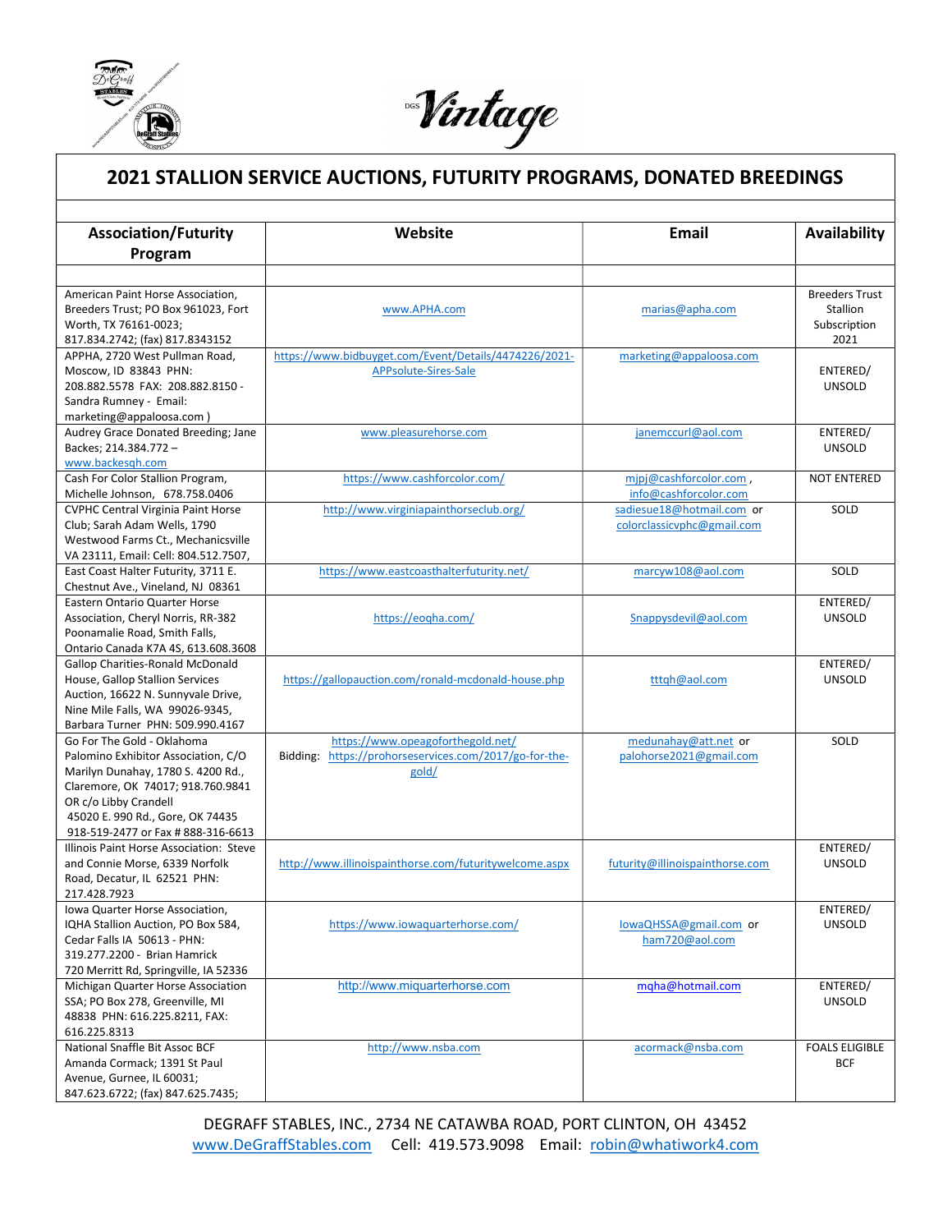

ı

Nintage

## 2021 STALLION SERVICE AUCTIONS, FUTURITY PROGRAMS, DONATED BREEDINGS

| <b>Association/Futurity</b>                                            | Website                                                | Email                           | Availability          |
|------------------------------------------------------------------------|--------------------------------------------------------|---------------------------------|-----------------------|
| Program                                                                |                                                        |                                 |                       |
|                                                                        |                                                        |                                 |                       |
| American Paint Horse Association,                                      |                                                        |                                 | <b>Breeders Trust</b> |
| Breeders Trust; PO Box 961023, Fort                                    | www.APHA.com                                           | marias@apha.com                 | Stallion              |
| Worth, TX 76161-0023;                                                  |                                                        |                                 | Subscription          |
| 817.834.2742; (fax) 817.8343152                                        |                                                        |                                 | 2021                  |
| APPHA, 2720 West Pullman Road,                                         | https://www.bidbuyget.com/Event/Details/4474226/2021-  | marketing@appaloosa.com         |                       |
| Moscow, ID 83843 PHN:<br>208.882.5578 FAX: 208.882.8150 -              | APPsolute-Sires-Sale                                   |                                 | ENTERED/              |
| Sandra Rumney - Email:                                                 |                                                        |                                 | <b>UNSOLD</b>         |
| marketing@appaloosa.com)                                               |                                                        |                                 |                       |
| Audrey Grace Donated Breeding; Jane                                    | www.pleasurehorse.com                                  | janemccurl@aol.com              | ENTERED/              |
| Backes; 214.384.772 -                                                  |                                                        |                                 | <b>UNSOLD</b>         |
| www.backesgh.com                                                       |                                                        |                                 |                       |
| Cash For Color Stallion Program,                                       | https://www.cashforcolor.com/                          | mipj@cashforcolor.com,          | <b>NOT ENTERED</b>    |
| Michelle Johnson, 678.758.0406                                         |                                                        | info@cashforcolor.com           |                       |
| <b>CVPHC Central Virginia Paint Horse</b>                              | http://www.virginiapainthorseclub.org/                 | sadiesue18@hotmail.com or       | SOLD                  |
| Club; Sarah Adam Wells, 1790                                           |                                                        | colorclassicvphc@gmail.com      |                       |
| Westwood Farms Ct., Mechanicsville                                     |                                                        |                                 |                       |
| VA 23111, Email: Cell: 804.512.7507,                                   |                                                        |                                 |                       |
| East Coast Halter Futurity, 3711 E.                                    | https://www.eastcoasthalterfuturity.net/               | marcyw108@aol.com               | SOLD                  |
| Chestnut Ave., Vineland, NJ 08361                                      |                                                        |                                 |                       |
| <b>Eastern Ontario Quarter Horse</b>                                   |                                                        |                                 | ENTERED/              |
| Association, Cheryl Norris, RR-382                                     | https://eogha.com/                                     | Snappysdevil@aol.com            | <b>UNSOLD</b>         |
| Poonamalie Road, Smith Falls,                                          |                                                        |                                 |                       |
| Ontario Canada K7A 4S, 613.608.3608                                    |                                                        |                                 |                       |
| <b>Gallop Charities-Ronald McDonald</b>                                |                                                        |                                 | ENTERED/              |
| House, Gallop Stallion Services                                        | https://gallopauction.com/ronald-mcdonald-house.php    | tttqh@aol.com                   | <b>UNSOLD</b>         |
| Auction, 16622 N. Sunnyvale Drive,                                     |                                                        |                                 |                       |
| Nine Mile Falls, WA 99026-9345,                                        |                                                        |                                 |                       |
| Barbara Turner PHN: 509.990.4167                                       |                                                        |                                 |                       |
| Go For The Gold - Oklahoma                                             | https://www.opeagoforthegold.net/                      | medunahay@att.net or            | SOLD                  |
| Palomino Exhibitor Association, C/O                                    | Bidding: https://prohorseservices.com/2017/go-for-the- | palohorse2021@gmail.com         |                       |
| Marilyn Dunahay, 1780 S. 4200 Rd.,                                     | gold/                                                  |                                 |                       |
| Claremore, OK 74017; 918.760.9841                                      |                                                        |                                 |                       |
| OR c/o Libby Crandell                                                  |                                                        |                                 |                       |
| 45020 E. 990 Rd., Gore, OK 74435<br>918-519-2477 or Fax # 888-316-6613 |                                                        |                                 |                       |
| Illinois Paint Horse Association: Steve                                |                                                        |                                 | ENTERED/              |
| and Connie Morse, 6339 Norfolk                                         | http://www.illinoispainthorse.com/futuritywelcome.aspx | futurity@illinoispainthorse.com | <b>UNSOLD</b>         |
| Road, Decatur, IL 62521 PHN:                                           |                                                        |                                 |                       |
| 217.428.7923                                                           |                                                        |                                 |                       |
| lowa Quarter Horse Association,                                        |                                                        |                                 | ENTERED/              |
| IQHA Stallion Auction, PO Box 584,                                     | https://www.iowaquarterhorse.com/                      | lowaQHSSA@gmail.com or          | <b>UNSOLD</b>         |
| Cedar Falls IA 50613 - PHN:                                            |                                                        | ham720@aol.com                  |                       |
| 319.277.2200 - Brian Hamrick                                           |                                                        |                                 |                       |
| 720 Merritt Rd, Springville, IA 52336                                  |                                                        |                                 |                       |
| Michigan Quarter Horse Association                                     | http://www.miquarterhorse.com                          | mgha@hotmail.com                | ENTERED/              |
| SSA; PO Box 278, Greenville, MI                                        |                                                        |                                 | <b>UNSOLD</b>         |
| 48838 PHN: 616.225.8211, FAX:                                          |                                                        |                                 |                       |
| 616.225.8313                                                           |                                                        |                                 |                       |
| National Snaffle Bit Assoc BCF                                         | http://www.nsba.com                                    | acormack@nsba.com               | <b>FOALS ELIGIBLE</b> |
| Amanda Cormack; 1391 St Paul                                           |                                                        |                                 | <b>BCF</b>            |
| Avenue, Gurnee, IL 60031;                                              |                                                        |                                 |                       |
| 847.623.6722; (fax) 847.625.7435;                                      |                                                        |                                 |                       |

DEGRAFF STABLES, INC., 2734 NE CATAWBA ROAD, PORT CLINTON, OH 43452 www.DeGraffStables.com Cell: 419.573.9098 Email: robin@whatiwork4.com